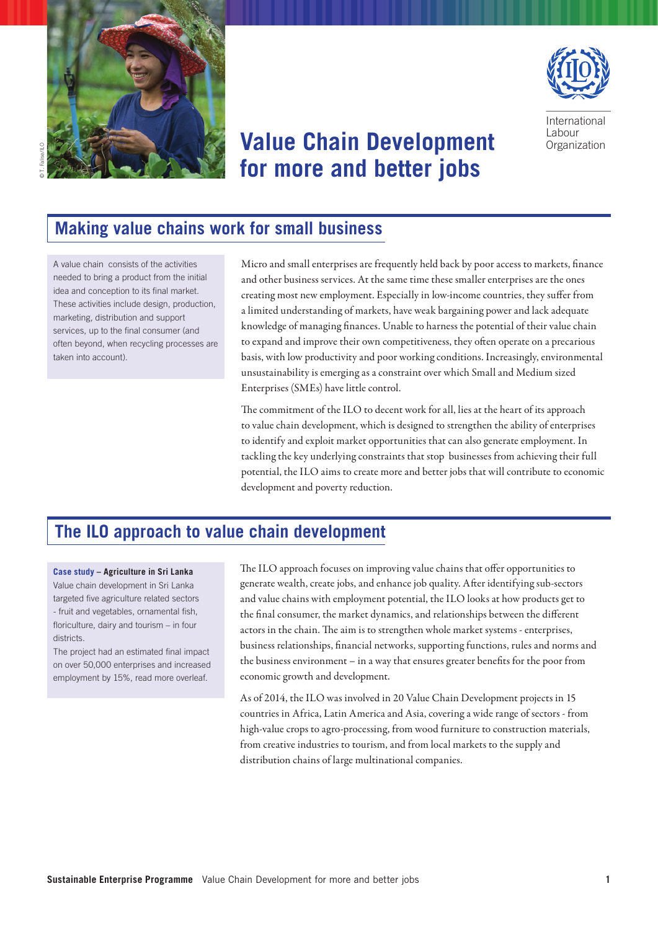



# **Value Chain Development for more and better jobs**

International **Labour Organization** 

# **Making value chains work for small business**

A value chain consists of the activities needed to bring a product from the initial idea and conception to its final market. These activities include design, production, marketing, distribution and support services, up to the final consumer (and often beyond, when recycling processes are taken into account).

Micro and small enterprises are frequently held back by poor access to markets, finance and other business services. At the same time these smaller enterprises are the ones creating most new employment. Especially in low-income countries, they suffer from a limited understanding of markets, have weak bargaining power and lack adequate knowledge of managing finances. Unable to harness the potential of their value chain to expand and improve their own competitiveness, they often operate on a precarious basis, with low productivity and poor working conditions. Increasingly, environmental unsustainability is emerging as a constraint over which Small and Medium sized Enterprises (SMEs) have little control.

The commitment of the ILO to decent work for all, lies at the heart of its approach to value chain development, which is designed to strengthen the ability of enterprises to identify and exploit market opportunities that can also generate employment. In tackling the key underlying constraints that stop businesses from achieving their full potential, the ILO aims to create more and better jobs that will contribute to economic development and poverty reduction.

# **The ILO approach to value chain development**

#### **Case study – Agriculture in Sri Lanka**

Value chain development in Sri Lanka targeted five agriculture related sectors - fruit and vegetables, ornamental fish, floriculture, dairy and tourism – in four districts.

The project had an estimated final impact on over 50,000 enterprises and increased employment by 15%, read more overleaf.

The ILO approach focuses on improving value chains that offer opportunities to generate wealth, create jobs, and enhance job quality. After identifying sub-sectors and value chains with employment potential, the ILO looks at how products get to the final consumer, the market dynamics, and relationships between the different actors in the chain. The aim is to strengthen whole market systems - enterprises, business relationships, financial networks, supporting functions, rules and norms and the business environment – in a way that ensures greater benefits for the poor from economic growth and development.

As of 2014, the ILO was involved in 20 Value Chain Development projects in 15 countries in Africa, Latin America and Asia, covering a wide range of sectors - from high-value crops to agro-processing, from wood furniture to construction materials, from creative industries to tourism, and from local markets to the supply and distribution chains of large multinational companies.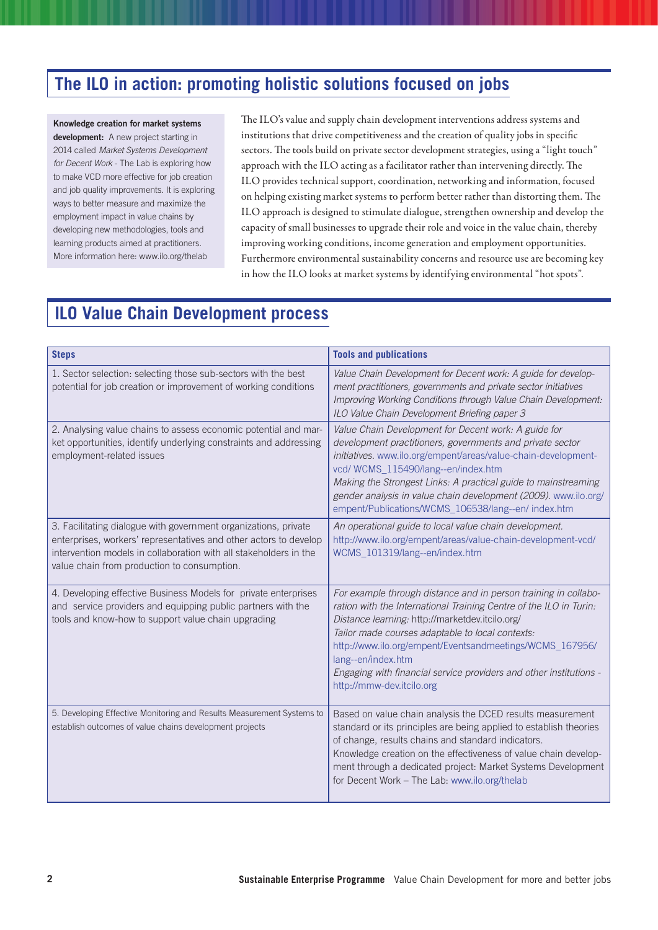# **The ILO in action: promoting holistic solutions focused on jobs**

### Knowledge creation for market systems

development: A new project starting in 2014 called *Market Systems Development for Decent Work* - The Lab is exploring how to make VCD more effective for job creation and job quality improvements. It is exploring ways to better measure and maximize the employment impact in value chains by developing new methodologies, tools and learning products aimed at practitioners. More information here: www.ilo.org/thelab

The ILO's value and supply chain development interventions address systems and institutions that drive competitiveness and the creation of quality jobs in specific sectors. The tools build on private sector development strategies, using a "light touch" approach with the ILO acting as a facilitator rather than intervening directly. The ILO provides technical support, coordination, networking and information, focused on helping existing market systems to perform better rather than distorting them. The ILO approach is designed to stimulate dialogue, strengthen ownership and develop the capacity of small businesses to upgrade their role and voice in the value chain, thereby improving working conditions, income generation and employment opportunities. Furthermore environmental sustainability concerns and resource use are becoming key in how the ILO looks at market systems by identifying environmental "hot spots".

# **ILO Value Chain Development process**

| <b>Steps</b>                                                                                                                                                                                                                                             | <b>Tools and publications</b>                                                                                                                                                                                                                                                                                                                                                                                                     |
|----------------------------------------------------------------------------------------------------------------------------------------------------------------------------------------------------------------------------------------------------------|-----------------------------------------------------------------------------------------------------------------------------------------------------------------------------------------------------------------------------------------------------------------------------------------------------------------------------------------------------------------------------------------------------------------------------------|
| 1. Sector selection: selecting those sub-sectors with the best<br>potential for job creation or improvement of working conditions                                                                                                                        | Value Chain Development for Decent work: A guide for develop-<br>ment practitioners, governments and private sector initiatives<br>Improving Working Conditions through Value Chain Development:<br>ILO Value Chain Development Briefing paper 3                                                                                                                                                                                  |
| 2. Analysing value chains to assess economic potential and mar-<br>ket opportunities, identify underlying constraints and addressing<br>employment-related issues                                                                                        | Value Chain Development for Decent work: A guide for<br>development practitioners, governments and private sector<br>initiatives. www.ilo.org/empent/areas/value-chain-development-<br>vcd/WCMS_115490/lang--en/index.htm<br>Making the Strongest Links: A practical guide to mainstreaming<br>gender analysis in value chain development (2009). www.ilo.org/<br>empent/Publications/WCMS_106538/lang--en/ index.htm             |
| 3. Facilitating dialogue with government organizations, private<br>enterprises, workers' representatives and other actors to develop<br>intervention models in collaboration with all stakeholders in the<br>value chain from production to consumption. | An operational guide to local value chain development.<br>http://www.ilo.org/empent/areas/value-chain-development-vcd/<br>WCMS_101319/lang--en/index.htm                                                                                                                                                                                                                                                                          |
| 4. Developing effective Business Models for private enterprises<br>and service providers and equipping public partners with the<br>tools and know-how to support value chain upgrading                                                                   | For example through distance and in person training in collabo-<br>ration with the International Training Centre of the ILO in Turin:<br>Distance learning: http://marketdev.itcilo.org/<br>Tailor made courses adaptable to local contexts:<br>http://www.ilo.org/empent/Eventsandmeetings/WCMS_167956/<br>lang--en/index.htm<br>Engaging with financial service providers and other institutions -<br>http://mmw-dev.itcilo.org |
| 5. Developing Effective Monitoring and Results Measurement Systems to<br>establish outcomes of value chains development projects                                                                                                                         | Based on value chain analysis the DCED results measurement<br>standard or its principles are being applied to establish theories<br>of change, results chains and standard indicators.<br>Knowledge creation on the effectiveness of value chain develop-<br>ment through a dedicated project: Market Systems Development<br>for Decent Work - The Lab: www.ilo.org/thelab                                                        |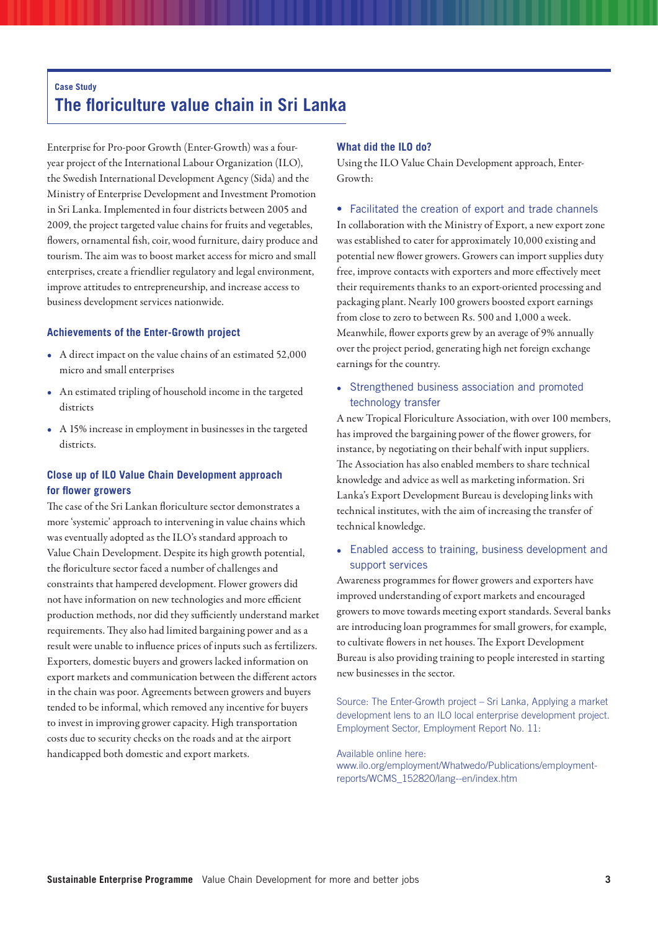### **Case Study The floriculture value chain in Sri Lanka**

Enterprise for Pro-poor Growth (Enter-Growth) was a fouryear project of the International Labour Organization (ILO), the Swedish International Development Agency (Sida) and the Ministry of Enterprise Development and Investment Promotion in Sri Lanka. Implemented in four districts between 2005 and 2009, the project targeted value chains for fruits and vegetables, flowers, ornamental fish, coir, wood furniture, dairy produce and tourism. The aim was to boost market access for micro and small enterprises, create a friendlier regulatory and legal environment, improve attitudes to entrepreneurship, and increase access to business development services nationwide.

### **Achievements of the Enter-Growth project**

- • A direct impact on the value chains of an estimated 52,000 micro and small enterprises
- An estimated tripling of household income in the targeted districts
- A 15% increase in employment in businesses in the targeted districts.

### **Close up of ILO Value Chain Development approach for flower growers**

The case of the Sri Lankan floriculture sector demonstrates a more 'systemic' approach to intervening in value chains which was eventually adopted as the ILO's standard approach to Value Chain Development. Despite its high growth potential, the floriculture sector faced a number of challenges and constraints that hampered development. Flower growers did not have information on new technologies and more efficient production methods, nor did they sufficiently understand market requirements. They also had limited bargaining power and as a result were unable to influence prices of inputs such as fertilizers. Exporters, domestic buyers and growers lacked information on export markets and communication between the different actors in the chain was poor. Agreements between growers and buyers tended to be informal, which removed any incentive for buyers to invest in improving grower capacity. High transportation costs due to security checks on the roads and at the airport handicapped both domestic and export markets.

#### **What did the ILO do?**

Using the ILO Value Chain Development approach, Enter-Growth:

#### • Facilitated the creation of export and trade channels

In collaboration with the Ministry of Export, a new export zone was established to cater for approximately 10,000 existing and potential new flower growers. Growers can import supplies duty free, improve contacts with exporters and more effectively meet their requirements thanks to an export-oriented processing and packaging plant. Nearly 100 growers boosted export earnings from close to zero to between Rs. 500 and 1,000 a week. Meanwhile, flower exports grew by an average of 9% annually over the project period, generating high net foreign exchange earnings for the country.

• Strengthened business association and promoted technology transfer

A new Tropical Floriculture Association, with over 100 members, has improved the bargaining power of the flower growers, for instance, by negotiating on their behalf with input suppliers. The Association has also enabled members to share technical knowledge and advice as well as marketing information. Sri Lanka's Export Development Bureau is developing links with technical institutes, with the aim of increasing the transfer of technical knowledge.

### • Enabled access to training, business development and support services

Awareness programmes for flower growers and exporters have improved understanding of export markets and encouraged growers to move towards meeting export standards. Several banks are introducing loan programmes for small growers, for example, to cultivate flowers in net houses. The Export Development Bureau is also providing training to people interested in starting new businesses in the sector.

Source: The Enter-Growth project – Sri Lanka, Applying a market development lens to an ILO local enterprise development project. Employment Sector, Employment Report No. 11:

#### Available online here:

www.ilo.org/employment/Whatwedo/Publications/employmentreports/WCMS\_152820/lang--en/index.htm